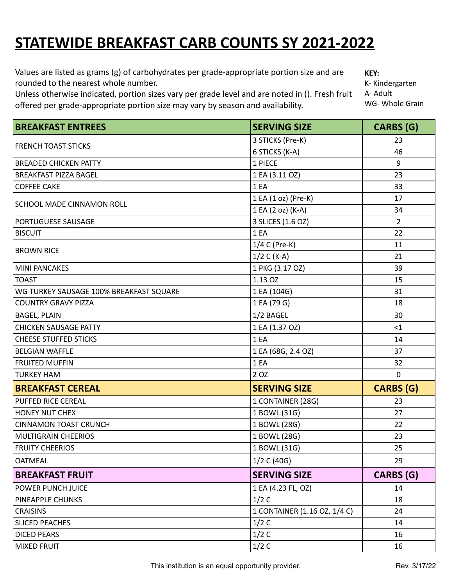## **STATEWIDE BREAKFAST CARB COUNTS SY 2021-2022**

Values are listed as grams (g) of carbohydrates per grade-appropriate portion size and are rounded to the nearest whole number.

Unless otherwise indicated, portion sizes vary per grade level and are noted in (). Fresh fruit offered per grade-appropriate portion size may vary by season and availability.

**KEY:** K- Kindergarten A- Adult WG- Whole Grain

| <b>BREAKFAST ENTREES</b>                | <b>SERVING SIZE</b>          | <b>CARBS</b> (G) |
|-----------------------------------------|------------------------------|------------------|
| <b>FRENCH TOAST STICKS</b>              | 3 STICKS (Pre-K)             | 23               |
|                                         | 6 STICKS (K-A)               | 46               |
| <b>BREADED CHICKEN PATTY</b>            | 1 PIECE                      | 9                |
| <b>BREAKFAST PIZZA BAGEL</b>            | 1 EA (3.11 OZ)               | 23               |
| <b>COFFEE CAKE</b>                      | 1 EA                         | 33               |
| <b>SCHOOL MADE CINNAMON ROLL</b>        | 1 EA (1 oz) (Pre-K)          | 17               |
|                                         | 1 EA (2 oz) (K-A)            | 34               |
| <b>PORTUGUESE SAUSAGE</b>               | 3 SLICES (1.6 OZ)            | $\overline{2}$   |
| <b>BISCUIT</b>                          | 1 EA                         | 22               |
| <b>BROWN RICE</b>                       | 1/4 C (Pre-K)                | 11               |
|                                         | $1/2 C (K-A)$                | 21               |
| MINI PANCAKES                           | 1 PKG (3.17 OZ)              | 39               |
| <b>TOAST</b>                            | 1.13 OZ                      | 15               |
| WG TURKEY SAUSAGE 100% BREAKFAST SQUARE | 1 EA (104G)                  | 31               |
| <b>COUNTRY GRAVY PIZZA</b>              | 1 EA (79 G)                  | 18               |
| <b>BAGEL, PLAIN</b>                     | 1/2 BAGEL                    | 30               |
| <b>CHICKEN SAUSAGE PATTY</b>            | 1 EA (1.37 OZ)               | <1               |
| <b>CHEESE STUFFED STICKS</b>            | 1 EA                         | 14               |
| <b>BELGIAN WAFFLE</b>                   | 1 EA (68G, 2.4 OZ)           | 37               |
| <b>FRUITED MUFFIN</b>                   | 1 EA                         | 32               |
| <b>TURKEY HAM</b>                       | 2 OZ                         | $\mathbf 0$      |
| <b>BREAKFAST CEREAL</b>                 | <b>SERVING SIZE</b>          | <b>CARBS (G)</b> |
| <b>PUFFED RICE CEREAL</b>               | 1 CONTAINER (28G)            | 23               |
| <b>HONEY NUT CHEX</b>                   | 1 BOWL (31G)                 | 27               |
| <b>CINNAMON TOAST CRUNCH</b>            | 1 BOWL (28G)                 | 22               |
| MULTIGRAIN CHEERIOS                     | 1 BOWL (28G)                 | 23               |
| <b>FRUITY CHEERIOS</b>                  | 1 BOWL (31G)                 | 25               |
| <b>OATMEAL</b>                          | 1/2 C(40G)                   | 29               |
| <b>BREAKFAST FRUIT</b>                  | <b>SERVING SIZE</b>          | <b>CARBS (G)</b> |
| <b>POWER PUNCH JUICE</b>                | 1 EA (4.23 FL, OZ)           | 14               |
| <b>PINEAPPLE CHUNKS</b>                 | 1/2C                         | 18               |
| <b>CRAISINS</b>                         | 1 CONTAINER (1.16 OZ, 1/4 C) | 24               |
| <b>SLICED PEACHES</b>                   | 1/2C                         | 14               |
| <b>DICED PEARS</b>                      | 1/2C                         | 16               |
| <b>MIXED FRUIT</b>                      | 1/2C                         | 16               |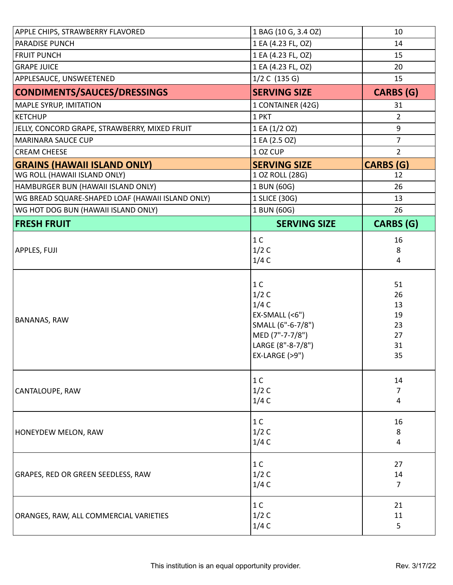| APPLE CHIPS, STRAWBERRY FLAVORED                 | 1 BAG (10 G, 3.4 OZ)                                                                                                              | 10                                           |
|--------------------------------------------------|-----------------------------------------------------------------------------------------------------------------------------------|----------------------------------------------|
| PARADISE PUNCH                                   | 1 EA (4.23 FL, OZ)                                                                                                                | 14                                           |
| <b>FRUIT PUNCH</b>                               | 1 EA (4.23 FL, OZ)                                                                                                                | 15                                           |
| <b>GRAPE JUICE</b>                               | 1 EA (4.23 FL, OZ)                                                                                                                | 20                                           |
| APPLESAUCE, UNSWEETENED                          | $1/2$ C (135 G)                                                                                                                   | 15                                           |
| <b>CONDIMENTS/SAUCES/DRESSINGS</b>               | <b>SERVING SIZE</b>                                                                                                               | <b>CARBS (G)</b>                             |
| MAPLE SYRUP, IMITATION                           | 1 CONTAINER (42G)                                                                                                                 | 31                                           |
| <b>KETCHUP</b>                                   | 1 PKT                                                                                                                             | $\overline{2}$                               |
| JELLY, CONCORD GRAPE, STRAWBERRY, MIXED FRUIT    | 1 EA (1/2 OZ)                                                                                                                     | 9                                            |
| <b>MARINARA SAUCE CUP</b>                        | 1 EA (2.5 OZ)                                                                                                                     | $\overline{7}$                               |
| <b>CREAM CHEESE</b>                              | 1 OZ CUP                                                                                                                          | $\overline{2}$                               |
| <b>GRAINS (HAWAII ISLAND ONLY)</b>               | <b>SERVING SIZE</b>                                                                                                               | <b>CARBS (G)</b>                             |
| WG ROLL (HAWAII ISLAND ONLY)                     | 1 OZ ROLL (28G)                                                                                                                   | 12                                           |
| HAMBURGER BUN (HAWAII ISLAND ONLY)               | 1 BUN (60G)                                                                                                                       | 26                                           |
| WG BREAD SQUARE-SHAPED LOAF (HAWAII ISLAND ONLY) | 1 SLICE (30G)                                                                                                                     | 13                                           |
| WG HOT DOG BUN (HAWAII ISLAND ONLY)              | 1 BUN (60G)                                                                                                                       | 26                                           |
| <b>FRESH FRUIT</b>                               | <b>SERVING SIZE</b>                                                                                                               | <b>CARBS (G)</b>                             |
|                                                  | 1 <sup>C</sup>                                                                                                                    | 16                                           |
| APPLES, FUJI                                     | 1/2C                                                                                                                              | 8                                            |
|                                                  | 1/4C                                                                                                                              | 4                                            |
| <b>BANANAS, RAW</b>                              | 1 <sup>C</sup><br>1/2C<br>1/4C<br>$EX-SMALL$ (<6")<br>SMALL (6"-6-7/8")<br>MED (7"-7-7/8")<br>LARGE (8"-8-7/8")<br>EX-LARGE (>9") | 51<br>26<br>13<br>19<br>23<br>27<br>31<br>35 |
| CANTALOUPE, RAW                                  | 1 C<br>1/2C<br>1/4C                                                                                                               | 14<br>7<br>4                                 |
| HONEYDEW MELON, RAW                              | 1 <sup>C</sup><br>1/2C<br>1/4C                                                                                                    | 16<br>8<br>4                                 |
| GRAPES, RED OR GREEN SEEDLESS, RAW               | 1 <sup>C</sup><br>1/2C<br>1/4C                                                                                                    | 27<br>14<br>$\overline{7}$                   |
| ORANGES, RAW, ALL COMMERCIAL VARIETIES           | 1 <sup>C</sup><br>1/2C<br>1/4C                                                                                                    | 21<br>11<br>5                                |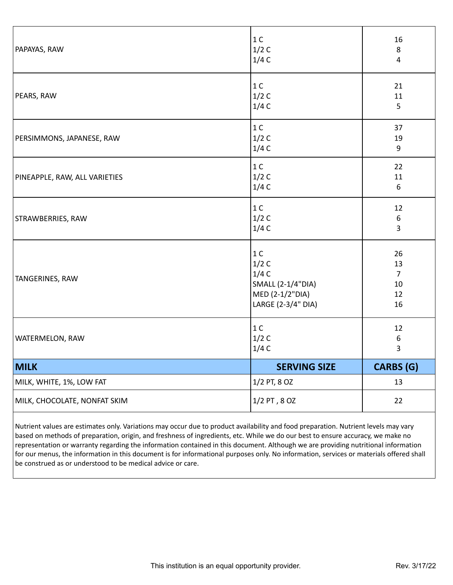| PAPAYAS, RAW                  | 1 <sup>C</sup><br>1/2C<br>1/4C                                                                      | 16<br>8<br>$\overline{4}$                    |
|-------------------------------|-----------------------------------------------------------------------------------------------------|----------------------------------------------|
| PEARS, RAW                    | 1 <sup>C</sup><br>1/2C<br>1/4C                                                                      | 21<br>11<br>5                                |
| PERSIMMONS, JAPANESE, RAW     | 1 <sup>C</sup><br>1/2C<br>1/4C                                                                      | 37<br>19<br>9                                |
| PINEAPPLE, RAW, ALL VARIETIES | 1 <sup>C</sup><br>1/2C<br>1/4C                                                                      | 22<br>11<br>$\boldsymbol{6}$                 |
| STRAWBERRIES, RAW             | 1 <sup>C</sup><br>1/2C<br>1/4C                                                                      | 12<br>$\boldsymbol{6}$<br>$\overline{3}$     |
| TANGERINES, RAW               | 1 <sup>C</sup><br>1/2C<br>1/4C<br><b>SMALL (2-1/4"DIA)</b><br>MED (2-1/2"DIA)<br>LARGE (2-3/4" DIA) | 26<br>13<br>$\overline{7}$<br>10<br>12<br>16 |
| WATERMELON, RAW               | 1 <sup>C</sup><br>1/2C<br>1/4C                                                                      | 12<br>6<br>3                                 |
| <b>MILK</b>                   | <b>SERVING SIZE</b>                                                                                 | <b>CARBS (G)</b>                             |
| MILK, WHITE, 1%, LOW FAT      | 1/2 PT, 8 OZ                                                                                        | 13                                           |
| MILK, CHOCOLATE, NONFAT SKIM  | 1/2 PT, 8 OZ                                                                                        | 22                                           |

Nutrient values are estimates only. Variations may occur due to product availability and food preparation. Nutrient levels may vary based on methods of preparation, origin, and freshness of ingredients, etc. While we do our best to ensure accuracy, we make no representation or warranty regarding the information contained in this document. Although we are providing nutritional information for our menus, the information in this document is for informational purposes only. No information, services or materials offered shall be construed as or understood to be medical advice or care.